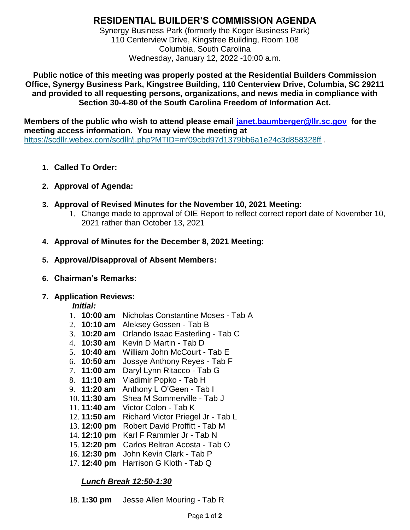# **RESIDENTIAL BUILDER'S COMMISSION AGENDA**

Synergy Business Park (formerly the Koger Business Park) 110 Centerview Drive, Kingstree Building, Room 108 Columbia, South Carolina Wednesday, January 12, 2022 -10:00 a.m.

**Public notice of this meeting was properly posted at the Residential Builders Commission Office, Synergy Business Park, Kingstree Building, 110 Centerview Drive, Columbia, SC 29211 and provided to all requesting persons, organizations, and news media in compliance with Section 30-4-80 of the South Carolina Freedom of Information Act.**

**Members of the public who wish to attend please email [janet.baumberger@llr.sc.gov](mailto:janet.baumberger@llr.sc.gov) for the meeting access information. You may view the meeting at** <https://scdllr.webex.com/scdllr/j.php?MTID=mf09cbd97d1379bb6a1e24c3d858328ff>.

- **1. Called To Order:**
- **2. Approval of Agenda:**
- **3. Approval of Revised Minutes for the November 10, 2021 Meeting:**
	- 1. Change made to approval of OIE Report to reflect correct report date of November 10, 2021 rather than October 13, 2021
- **4. Approval of Minutes for the December 8, 2021 Meeting:**
- **5. Approval/Disapproval of Absent Members:**
- **6. Chairman's Remarks:**

## **7. Application Reviews:**

## *Initial:*

- 1. **10:00 am** Nicholas Constantine Moses Tab A
- 2. **10:10 am** Aleksey Gossen Tab B
- 3. **10:20 am** Orlando Isaac Easterling Tab C
- 4. **10:30 am** Kevin D Martin Tab D
- 5. **10:40 am** William John McCourt Tab E
- 6. **10:50 am** Jossye Anthony Reyes Tab F
- 7. **11:00 am** Daryl Lynn Ritacco Tab G
- 8. **11:10 am** Vladimir Popko Tab H
- 9. **11:20 am** Anthony L O'Geen Tab I
- 10. **11:30 am** Shea M Sommerville Tab J
- 11. **11:40 am** Victor Colon Tab K
- 12. **11:50 am** Richard Victor Priegel Jr Tab L
- 13. **12:00 pm** Robert David Proffitt Tab M
- 14. **12:10 pm** Karl F Rammler Jr Tab N
- 15. **12:20 pm** Carlos Beltran Acosta Tab O
- 16. **12:30 pm** John Kevin Clark Tab P
- 17. **12:40 pm** Harrison G Kloth Tab Q

# *Lunch Break 12:50-1:30*

18. **1:30 pm** Jesse Allen Mouring - Tab R